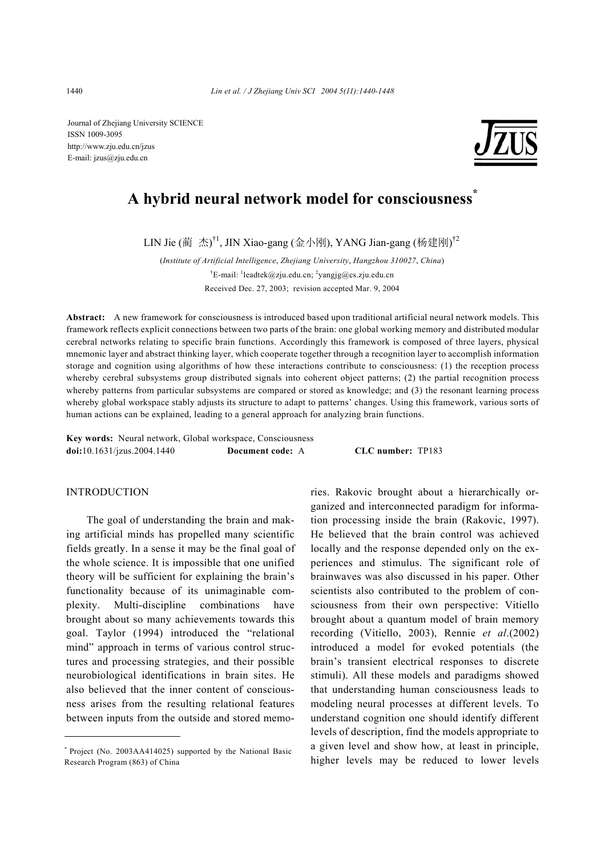Journal of Zhejiang University SCIENCE ISSN 1009-3095 http://www.zju.edu.cn/jzus E-mail: jzus@zju.edu.cn



# **A hybrid neural network model for consciousness\***

LIN Jie (蔺 杰)<sup>†1</sup>, JIN Xiao-gang (金小刚), YANG Jian-gang (杨建刚)<sup>†2</sup>

(*Institute of Artificial Intelligence*, *Zhejiang University*, *Hangzhou 310027*, *China*) <sup>†</sup>E-mail: <sup>1</sup>leadtek@zju.edu.cn; <sup>2</sup>yangjg@cs.zju.edu.cn Received Dec. 27, 2003; revision accepted Mar. 9, 2004

**Abstract:** A new framework for consciousness is introduced based upon traditional artificial neural network models. This framework reflects explicit connections between two parts of the brain: one global working memory and distributed modular cerebral networks relating to specific brain functions. Accordingly this framework is composed of three layers, physical mnemonic layer and abstract thinking layer, which cooperate together through a recognition layer to accomplish information storage and cognition using algorithms of how these interactions contribute to consciousness: (1) the reception process whereby cerebral subsystems group distributed signals into coherent object patterns; (2) the partial recognition process whereby patterns from particular subsystems are compared or stored as knowledge; and (3) the resonant learning process whereby global workspace stably adjusts its structure to adapt to patterns' changes. Using this framework, various sorts of human actions can be explained, leading to a general approach for analyzing brain functions.

**Key words:** Neural network, Global workspace, Consciousness **doi:**10.1631/jzus.2004.1440 **Document code:** A **CLC number:** TP183

### INTRODUCTION

The goal of understanding the brain and making artificial minds has propelled many scientific fields greatly. In a sense it may be the final goal of the whole science. It is impossible that one unified theory will be sufficient for explaining the brain's functionality because of its unimaginable complexity. Multi-discipline combinations have brought about so many achievements towards this goal. Taylor (1994) introduced the "relational mind" approach in terms of various control structures and processing strategies, and their possible neurobiological identifications in brain sites. He also believed that the inner content of consciousness arises from the resulting relational features between inputs from the outside and stored memories. Rakovic brought about a hierarchically organized and interconnected paradigm for information processing inside the brain (Rakovic, 1997). He believed that the brain control was achieved locally and the response depended only on the experiences and stimulus. The significant role of brainwaves was also discussed in his paper. Other scientists also contributed to the problem of consciousness from their own perspective: Vitiello brought about a quantum model of brain memory recording (Vitiello, 2003), Rennie *et al*.(2002) introduced a model for evoked potentials (the brain's transient electrical responses to discrete stimuli). All these models and paradigms showed that understanding human consciousness leads to modeling neural processes at different levels. To understand cognition one should identify different levels of description, find the models appropriate to a given level and show how, at least in principle, higher levels may be reduced to lower levels

<sup>\*</sup> Project (No. 2003AA414025) supported by the National Basic Research Program (863) of China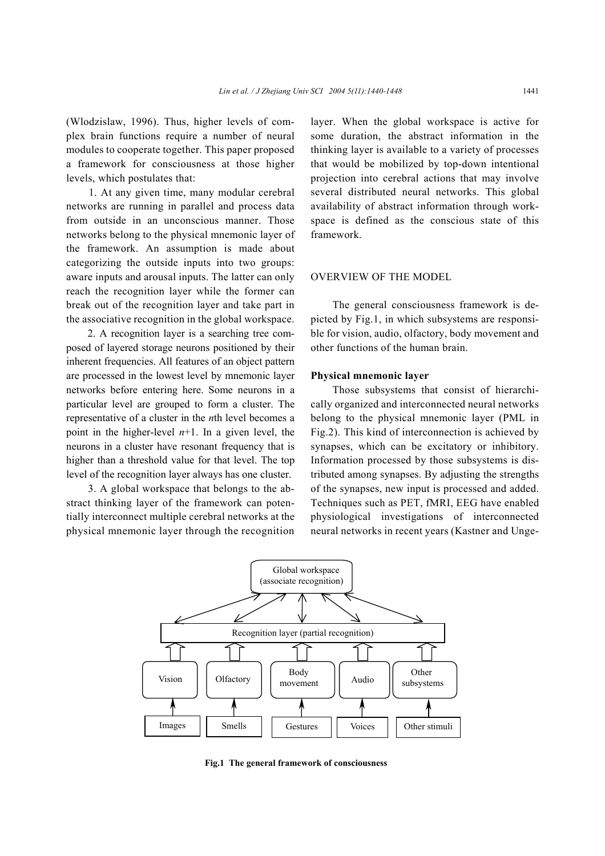(Wlodzislaw, 1996). Thus, higher levels of complex brain functions require a number of neural modules to cooperate together. This paper proposed a framework for consciousness at those higher levels, which postulates that:

1. At any given time, many modular cerebral networks are running in parallel and process data from outside in an unconscious manner. Those networks belong to the physical mnemonic layer of the framework. An assumption is made about categorizing the outside inputs into two groups: aware inputs and arousal inputs. The latter can only reach the recognition layer while the former can break out of the recognition layer and take part in the associative recognition in the global workspace.

2. A recognition layer is a searching tree composed of layered storage neurons positioned by their inherent frequencies. All features of an object pattern are processed in the lowest level by mnemonic layer networks before entering here. Some neurons in a particular level are grouped to form a cluster. The representative of a cluster in the *n*th level becomes a point in the higher-level  $n+1$ . In a given level, the neurons in a cluster have resonant frequency that is higher than a threshold value for that level. The top level of the recognition layer always has one cluster.

3. A global workspace that belongs to the abstract thinking layer of the framework can potentially interconnect multiple cerebral networks at the physical mnemonic layer through the recognition layer. When the global workspace is active for some duration, the abstract information in the thinking layer is available to a variety of processes that would be mobilized by top-down intentional projection into cerebral actions that may involve several distributed neural networks. This global availability of abstract information through workspace is defined as the conscious state of this framework.

#### OVERVIEW OF THE MODEL

The general consciousness framework is depicted by Fig.1, in which subsystems are responsible for vision, audio, olfactory, body movement and other functions of the human brain.

#### **Physical mnemonic layer**

Those subsystems that consist of hierarchically organized and interconnected neural networks belong to the physical mnemonic layer (PML in Fig.2). This kind of interconnection is achieved by synapses, which can be excitatory or inhibitory. Information processed by those subsystems is distributed among synapses. By adjusting the strengths of the synapses, new input is processed and added. Techniques such as PET, fMRI, EEG have enabled physiological investigations of interconnected neural networks in recent years (Kastner and Unge-



**Fig.1 The general framework of consciousness**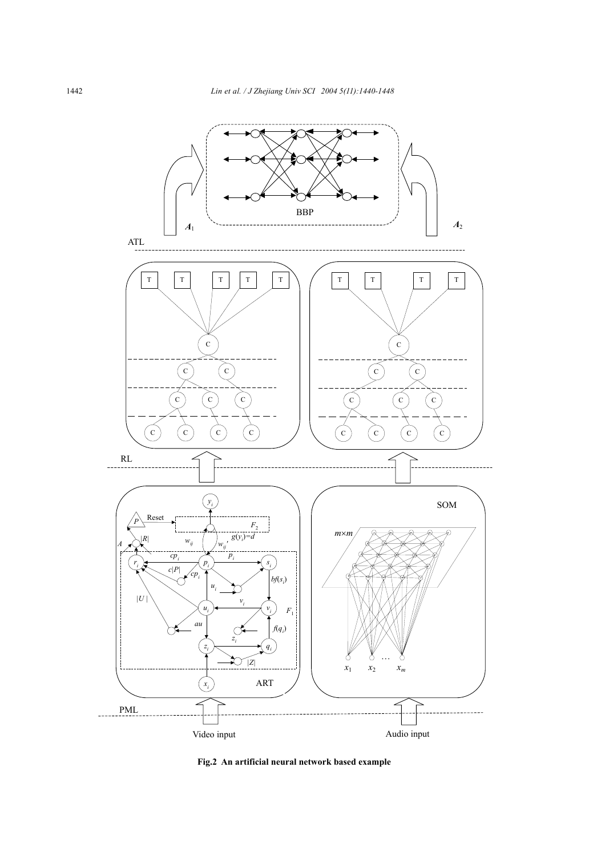

**Fig.2 An artificial neural network based example**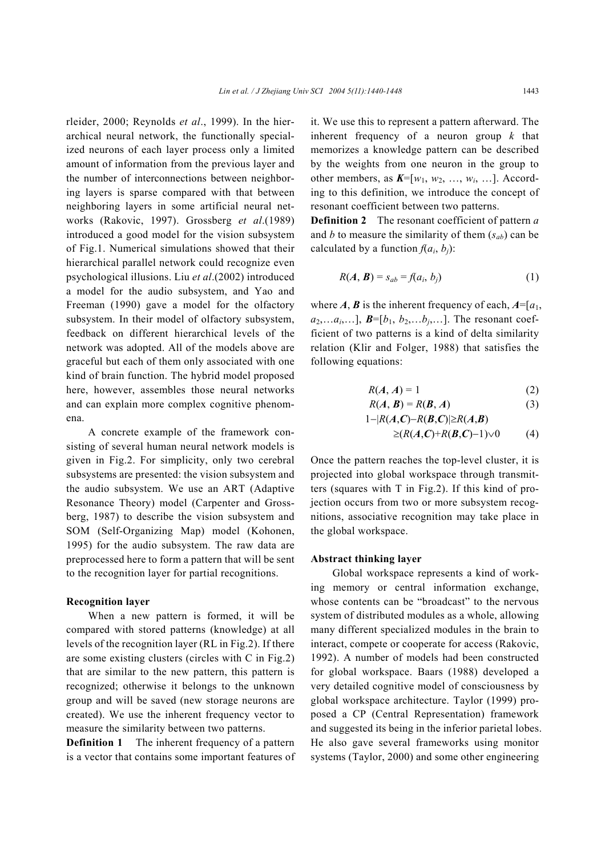rleider, 2000; Reynolds *et al*., 1999). In the hierarchical neural network, the functionally specialized neurons of each layer process only a limited amount of information from the previous layer and the number of interconnections between neighboring layers is sparse compared with that between neighboring layers in some artificial neural networks (Rakovic, 1997). Grossberg *et al*.(1989) introduced a good model for the vision subsystem of Fig.1. Numerical simulations showed that their hierarchical parallel network could recognize even psychological illusions. Liu *et al*.(2002) introduced a model for the audio subsystem, and Yao and Freeman (1990) gave a model for the olfactory subsystem. In their model of olfactory subsystem, feedback on different hierarchical levels of the network was adopted. All of the models above are graceful but each of them only associated with one kind of brain function. The hybrid model proposed here, however, assembles those neural networks and can explain more complex cognitive phenomena.

A concrete example of the framework consisting of several human neural network models is given in Fig.2. For simplicity, only two cerebral subsystems are presented: the vision subsystem and the audio subsystem. We use an ART (Adaptive Resonance Theory) model (Carpenter and Grossberg, 1987) to describe the vision subsystem and SOM (Self-Organizing Map) model (Kohonen, 1995) for the audio subsystem. The raw data are preprocessed here to form a pattern that will be sent to the recognition layer for partial recognitions.

#### **Recognition layer**

When a new pattern is formed, it will be compared with stored patterns (knowledge) at all levels of the recognition layer (RL in Fig.2). If there are some existing clusters (circles with C in Fig.2) that are similar to the new pattern, this pattern is recognized; otherwise it belongs to the unknown group and will be saved (new storage neurons are created). We use the inherent frequency vector to measure the similarity between two patterns.

**Definition 1** The inherent frequency of a pattern is a vector that contains some important features of it. We use this to represent a pattern afterward. The inherent frequency of a neuron group *k* that memorizes a knowledge pattern can be described by the weights from one neuron in the group to other members, as  $K=[w_1, w_2, ..., w_i, ...]$ . According to this definition, we introduce the concept of resonant coefficient between two patterns.

**Definition 2** The resonant coefficient of pattern *a* and *b* to measure the similarity of them  $(s_{ab})$  can be calculated by a function  $f(a_i, b_i)$ :

$$
R(A, B) = s_{ab} = f(a_i, b_j)
$$
 (1)

where  $A$ ,  $B$  is the inherent frequency of each,  $A = [a_1, a_2]$  $a_2,...a_i,...$ ],  $\mathbf{B}=[b_1, b_2,...b_i,...]$ . The resonant coefficient of two patterns is a kind of delta similarity relation (Klir and Folger, 1988) that satisfies the following equations:

$$
R(A, A) = 1 \tag{2}
$$

$$
R(A, B) = R(B, A)
$$
 (3)

$$
1-|R(A,C)-R(B,C)|\geq R(A,B)
$$
  
\n
$$
\geq (R(A,C)+R(B,C)-1)\vee 0
$$
 (4)

Once the pattern reaches the top-level cluster, it is projected into global workspace through transmitter (squares with 
$$
T
$$
 in Fig 2). If this kind of properties

ters (squares with T in Fig.2). If this kind of projection occurs from two or more subsystem recognitions, associative recognition may take place in the global workspace.

#### **Abstract thinking layer**

Global workspace represents a kind of working memory or central information exchange, whose contents can be "broadcast" to the nervous system of distributed modules as a whole, allowing many different specialized modules in the brain to interact, compete or cooperate for access (Rakovic, 1992). A number of models had been constructed for global workspace. Baars (1988) developed a very detailed cognitive model of consciousness by global workspace architecture. Taylor (1999) proposed a CP (Central Representation) framework and suggested its being in the inferior parietal lobes. He also gave several frameworks using monitor systems (Taylor, 2000) and some other engineering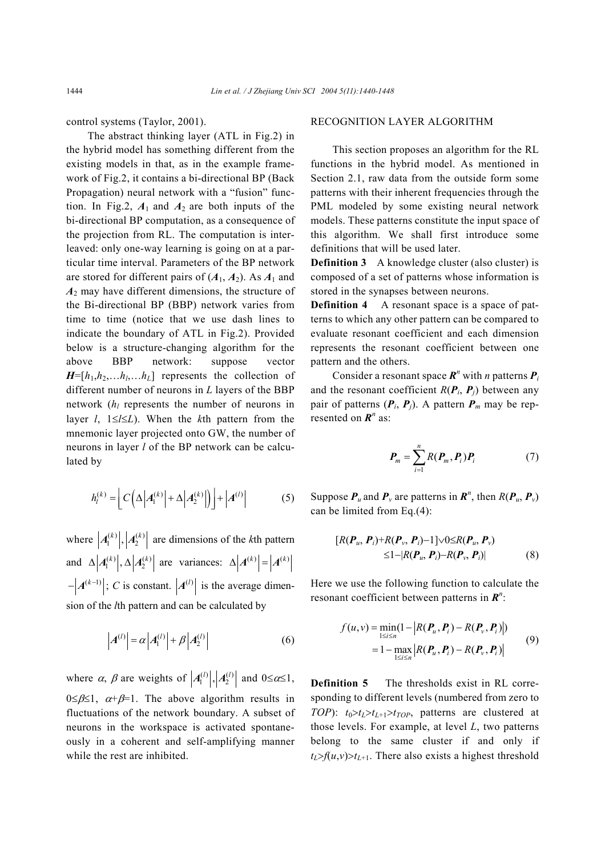control systems (Taylor, 2001).

The abstract thinking layer (ATL in Fig.2) in the hybrid model has something different from the existing models in that, as in the example framework of Fig.2, it contains a bi-directional BP (Back Propagation) neural network with a "fusion" function. In Fig.2,  $A_1$  and  $A_2$  are both inputs of the bi-directional BP computation, as a consequence of the projection from RL. The computation is interleaved: only one-way learning is going on at a particular time interval. Parameters of the BP network are stored for different pairs of  $(A_1, A_2)$ . As  $A_1$  and *A*2 may have different dimensions, the structure of the Bi-directional BP (BBP) network varies from time to time (notice that we use dash lines to indicate the boundary of ATL in Fig.2). Provided below is a structure-changing algorithm for the above BBP network: suppose vector  $H=[h_1,h_2,...h_l,...h_l]$  represents the collection of different number of neurons in *L* layers of the BBP network (*hl* represents the number of neurons in layer *l*, 1≤*l*≤*L*). When the *k*th pattern from the mnemonic layer projected onto GW, the number of neurons in layer *l* of the BP network can be calculated by

$$
h_l^{(k)} = \left[ C \left( \Delta \left| A_1^{(k)} \right| + \Delta \left| A_2^{(k)} \right| \right) \right] + \left| A^{(l)} \right| \tag{5}
$$

where  $|A_1^{(k)}|, |A_2^{(k)}|$  are dimensions of the *k*th pattern and  $\Delta |A_1^{(k)}|, \Delta |A_2^{(k)}|$  are variances:  $\Delta |A^{(k)}| = |A^{(k)}|$  $\left| A^{(k-1)} \right|$ ; *C* is constant.  $\left| A^{(l)} \right|$  is the average dimension of the *l*th pattern and can be calculated by

$$
\left| A^{(l)} \right| = \alpha \left| A_1^{(l)} \right| + \beta \left| A_2^{(l)} \right| \tag{6}
$$

where  $\alpha$ ,  $\beta$  are weights of  $|A_1^{(l)}|, |A_2^{(l)}|$  and  $0 \le \alpha \le 1$ ,  $0 \leq \beta \leq 1$ ,  $\alpha + \beta = 1$ . The above algorithm results in fluctuations of the network boundary. A subset of neurons in the workspace is activated spontaneously in a coherent and self-amplifying manner while the rest are inhibited.

#### RECOGNITION LAYER ALGORITHM

This section proposes an algorithm for the RL functions in the hybrid model. As mentioned in Section 2.1, raw data from the outside form some patterns with their inherent frequencies through the PML modeled by some existing neural network models. These patterns constitute the input space of this algorithm. We shall first introduce some definitions that will be used later.

**Definition 3** A knowledge cluster (also cluster) is composed of a set of patterns whose information is stored in the synapses between neurons.

**Definition 4** A resonant space is a space of patterns to which any other pattern can be compared to evaluate resonant coefficient and each dimension represents the resonant coefficient between one pattern and the others.

Consider a resonant space  $\mathbf{R}^n$  with *n* patterns  $\mathbf{P}_i$ and the resonant coefficient  $R(P_i, P_j)$  between any pair of patterns  $(P_i, P_j)$ . A pattern  $P_m$  may be represented on  $\mathbf{R}^n$  as:

$$
\boldsymbol{P}_m = \sum_{i=1}^n R(\boldsymbol{P}_m, \boldsymbol{P}_i) \boldsymbol{P}_i \tag{7}
$$

Suppose  $P_u$  and  $P_v$  are patterns in  $R^n$ , then  $R(P_u, P_v)$ can be limited from Eq.(4):

$$
[R(\boldsymbol{P}_u, \boldsymbol{P}_i) + R(\boldsymbol{P}_v, \boldsymbol{P}_i) - 1] \vee 0 \le R(\boldsymbol{P}_u, \boldsymbol{P}_v)
$$
  
\n
$$
\le 1 - |R(\boldsymbol{P}_u, \boldsymbol{P}_i) - R(\boldsymbol{P}_v, \boldsymbol{P}_i)|
$$
\n(8)

Here we use the following function to calculate the resonant coefficient between patterns in *R<sup>n</sup>* :

$$
f(u, v) = \min_{1 \le i \le n} (1 - |R(P_u, P_i) - R(P_v, P_i)|)
$$
  
=  $1 - \max_{1 \le i \le n} |R(P_u, P_i) - R(P_v, P_i)|$  (9)

**Definition 5** The thresholds exist in RL corresponding to different levels (numbered from zero to *TOP*):  $t_0 > t_L > t_{L+1} > t_{TOP}$ , patterns are clustered at those levels. For example, at level *L*, two patterns belong to the same cluster if and only if  $t_L$ > $f(u,v)$ > $t_{L+1}$ . There also exists a highest threshold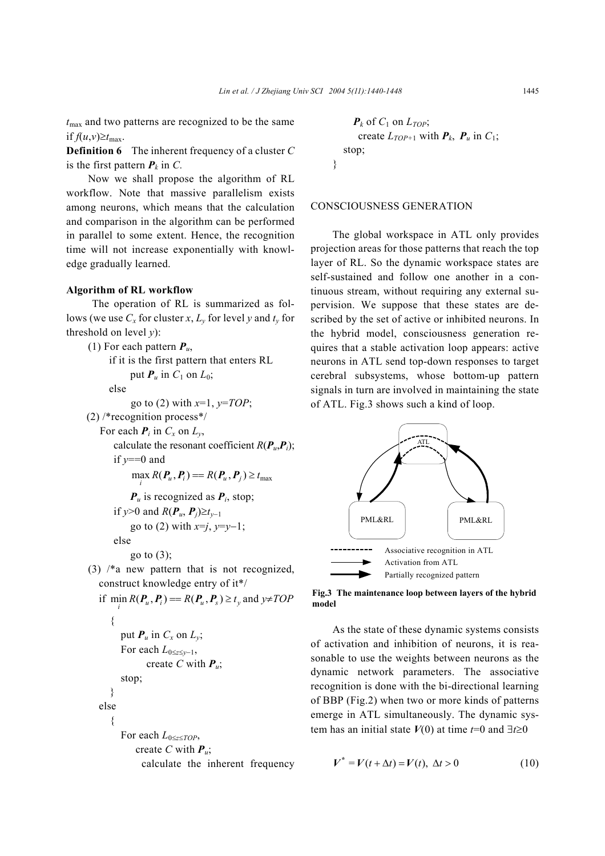*t*max and two patterns are recognized to be the same if  $f(u,v) \geq t_{\text{max}}$ .

**Definition 6** The inherent frequency of a cluster *C* is the first pattern  $P_k$  in  $C$ .

Now we shall propose the algorithm of RL workflow. Note that massive parallelism exists among neurons, which means that the calculation and comparison in the algorithm can be performed in parallel to some extent. Hence, the recognition time will not increase exponentially with knowledge gradually learned.

### **Algorithm of RL workflow**

The operation of RL is summarized as follows (we use  $C_x$  for cluster *x*,  $L_y$  for level *y* and  $t_y$  for threshold on level *y*):

```
(1) For each pattern Pu, 
      if it is the first pattern that enters RL 
            put P_u in C_1 on L_0;
      else 
            go to (2) with x=1, y=TOP; 
(2) /*recognition process*/ 
   For each P_i in C_x on L_y,
       calculate the resonant coefficient R(P_{\mu}, P_{\mu});
       if y == 0 and
             \max_i R(\boldsymbol{P}_u, \boldsymbol{P}_i) = R(\boldsymbol{P}_u, \boldsymbol{P}_j) \ge t_{\text{max}}P_{\mu} is recognized as P_{i}, stop;
       if y>0 and R(P<sup>u</sup>, P<sup>j</sup>)≥t<sub>v−1</sub>
            go to (2) with x = j, y = y - 1;
       else 
             go to (3);
(3) /*a new pattern that is not recognized, 
   construct knowledge entry of it*/ 
    if \min_i R(P_u, P_i) = R(P_u, P_s) \ge t_y and y \ne TOP{ 
          put P_u in C_x on L_v;
          For each L_{0\leq z\leq y-1},
                 create C with Pu; 
          stop; 
      } 
   else 
       { 
          For each L0≤z≤TOP, 
              create C with Pu; 
                calculate the inherent frequency
```

```
P_k of C_1 on L_{TOP};
      create L_{TOP+1} with P_k, P_u in C_1;
  stop; 
}
```
# CONSCIOUSNESS GENERATION

The global workspace in ATL only provides projection areas for those patterns that reach the top layer of RL. So the dynamic workspace states are self-sustained and follow one another in a continuous stream, without requiring any external supervision. We suppose that these states are described by the set of active or inhibited neurons. In the hybrid model, consciousness generation requires that a stable activation loop appears: active neurons in ATL send top-down responses to target cerebral subsystems, whose bottom-up pattern signals in turn are involved in maintaining the state of ATL. Fig.3 shows such a kind of loop.



**Fig.3 The maintenance loop between layers of the hybrid model**

As the state of these dynamic systems consists of activation and inhibition of neurons, it is reasonable to use the weights between neurons as the dynamic network parameters. The associative recognition is done with the bi-directional learning of BBP (Fig.2) when two or more kinds of patterns emerge in ATL simultaneously. The dynamic system has an initial state  $V(0)$  at time  $t=0$  and  $\exists t \ge 0$ 

$$
V^* = V(t + \Delta t) = V(t), \ \Delta t > 0 \tag{10}
$$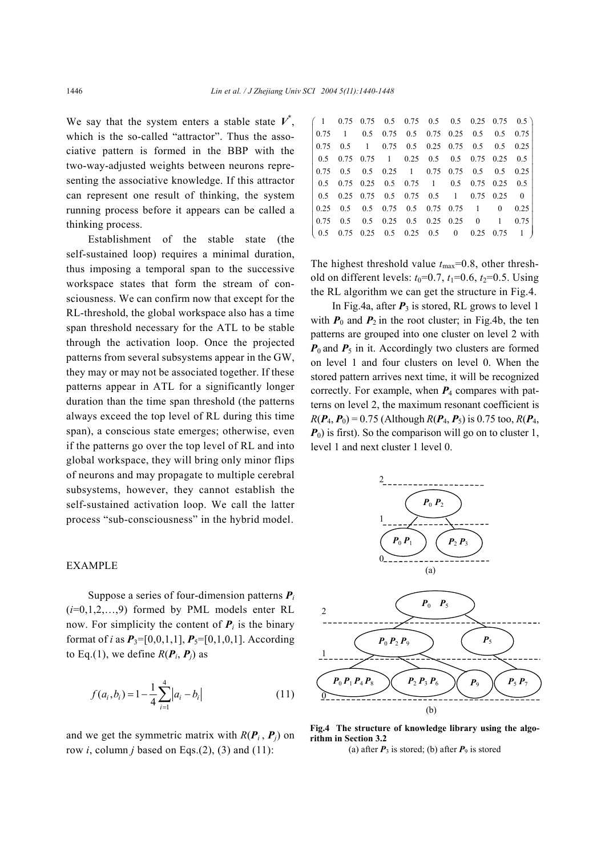We say that the system enters a stable state  $V^*$ , which is the so-called "attractor". Thus the associative pattern is formed in the BBP with the two-way-adjusted weights between neurons representing the associative knowledge. If this attractor can represent one result of thinking, the system running process before it appears can be called a thinking process.

Establishment of the stable state (the self-sustained loop) requires a minimal duration, thus imposing a temporal span to the successive workspace states that form the stream of consciousness. We can confirm now that except for the RL-threshold, the global workspace also has a time span threshold necessary for the ATL to be stable through the activation loop. Once the projected patterns from several subsystems appear in the GW, they may or may not be associated together. If these patterns appear in ATL for a significantly longer duration than the time span threshold (the patterns always exceed the top level of RL during this time span), a conscious state emerges; otherwise, even if the patterns go over the top level of RL and into global workspace, they will bring only minor flips of neurons and may propagate to multiple cerebral subsystems, however, they cannot establish the self-sustained activation loop. We call the latter process "sub-consciousness" in the hybrid model.

#### EXAMPLE

Suppose a series of four-dimension patterns *P<sup>i</sup>* (*i*=0,1,2,…,9) formed by PML models enter RL now. For simplicity the content of  $P_i$  is the binary format of *i* as  $P_3 = [0, 0, 1, 1]$ ,  $P_5 = [0, 1, 0, 1]$ . According to Eq.(1), we define  $R(P_i, P_j)$  as

$$
f(a_i, b_i) = 1 - \frac{1}{4} \sum_{i=1}^{4} |a_i - b_i|
$$
 (11)

and we get the symmetric matrix with  $R(P_i, P_j)$  on row *i*, column *j* based on Eqs.(2), (3) and (11):

| $(1 \t 0.75 \t 0.75 \t 0.5 \t 0.75 \t 0.5 \t 0.5 \t 0.25 \t 0.75 \t 0.5)$                            |  |  |  |  |  |
|------------------------------------------------------------------------------------------------------|--|--|--|--|--|
| $\begin{array}{ccccccccc} 0.75 & 1 & 0.5 & 0.75 & 0.5 & 0.75 & 0.25 & 0.5 & 0.5 & 0.75 \end{array}$  |  |  |  |  |  |
| $\begin{array}{cccccc} 0.75 & 0.5 & 1 & 0.75 & 0.5 & 0.25 & 0.75 & 0.5 & 0.5 & 0.25 \end{array}$     |  |  |  |  |  |
| $\begin{array}{cccccc} 0.5 & 0.75 & 0.75 & 1 & 0.25 & 0.5 & 0.5 & 0.75 & 0.25 & 0.5 \end{array}$     |  |  |  |  |  |
| $\begin{array}{ccccccccc} 0.75 & 0.5 & 0.5 & 0.25 & 1 & 0.75 & 0.75 & 0.5 & 0.5 & 0.25 \end{array}$  |  |  |  |  |  |
| $\begin{array}{cccccc} \n0.5 & 0.75 & 0.25 & 0.5 & 0.75 & 1 & 0.5 & 0.75 & 0.25 & 0.5 \n\end{array}$ |  |  |  |  |  |
| $\begin{array}{ccccccccc} \n0.5 & 0.25 & 0.75 & 0.5 & 0.75 & 0.5 & 1 & 0.75 & 0.25 & 0\n\end{array}$ |  |  |  |  |  |
| $\begin{array}{ccccccccc} 0.25 & 0.5 & 0.5 & 0.75 & 0.5 & 0.75 & 0.75 & 1 & 0 & 0.25 \end{array}$    |  |  |  |  |  |
| $\begin{array}{ccccccccc} 0.75 & 0.5 & 0.5 & 0.25 & 0.5 & 0.25 & 0.25 & 0 & 1 & 0.75 \end{array}$    |  |  |  |  |  |
| $(0.5 \t 0.75 \t 0.25 \t 0.5 \t 0.25 \t 0.5 \t 0 \t 0.25 \t 0.75 \t 1)$                              |  |  |  |  |  |
|                                                                                                      |  |  |  |  |  |

The highest threshold value  $t_{\text{max}}$ =0.8, other threshold on different levels:  $t_0=0.7$ ,  $t_1=0.6$ ,  $t_2=0.5$ . Using the RL algorithm we can get the structure in Fig.4.

In Fig.4a, after  $P_3$  is stored, RL grows to level 1 with  $P_0$  and  $P_2$  in the root cluster; in Fig.4b, the ten patterns are grouped into one cluster on level 2 with  $P_0$  and  $P_5$  in it. Accordingly two clusters are formed on level 1 and four clusters on level 0. When the stored pattern arrives next time, it will be recognized correctly. For example, when *P*4 compares with patterns on level 2, the maximum resonant coefficient is  $R(P_4, P_0) = 0.75$  (Although  $R(P_4, P_5)$  is 0.75 too,  $R(P_4, P_6)$  $P_0$ ) is first). So the comparison will go on to cluster 1, level 1 and next cluster 1 level 0.



**Fig.4 The structure of knowledge library using the algorithm in Section 3.2** 

(a) after  $P_3$  is stored; (b) after  $P_9$  is stored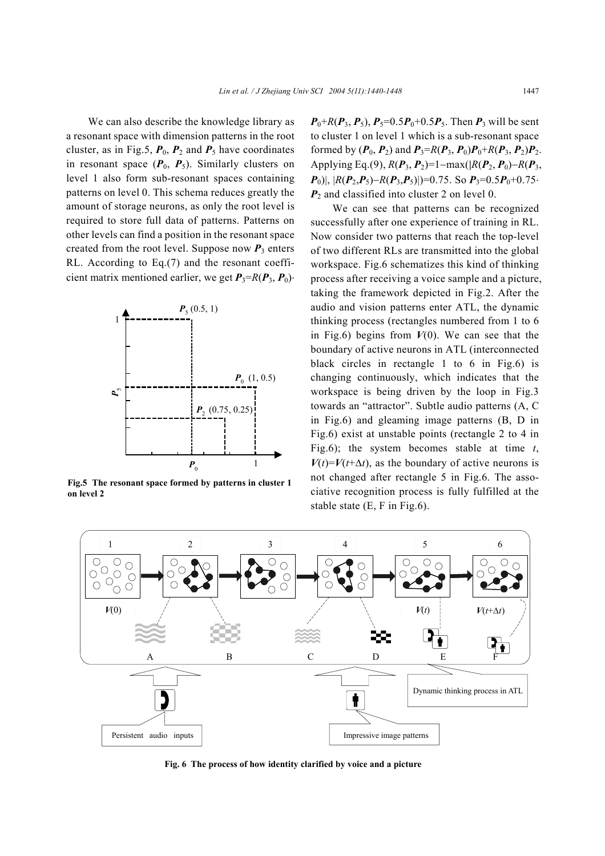We can also describe the knowledge library as a resonant space with dimension patterns in the root cluster, as in Fig.5,  $P_0$ ,  $P_2$  and  $P_5$  have coordinates in resonant space  $(P_0, P_5)$ . Similarly clusters on level 1 also form sub-resonant spaces containing patterns on level 0. This schema reduces greatly the amount of storage neurons, as only the root level is required to store full data of patterns. Patterns on other levels can find a position in the resonant space created from the root level. Suppose now  $P_3$  enters RL. According to Eq.(7) and the resonant coefficient matrix mentioned earlier, we get  $P_3 = R(P_3, P_0)$ 



**Fig.5 The resonant space formed by patterns in cluster 1 on level 2**

 $P_0+R(P_3, P_5)$ ,  $P_5=0.5P_0+0.5P_5$ . Then  $P_3$  will be sent to cluster 1 on level 1 which is a sub-resonant space formed by  $(P_0, P_2)$  and  $P_3 = R(P_3, P_0)P_0 + R(P_3, P_2)P_2$ . Applying Eq.(9),  $R(P_3, P_2) = 1 - \max(|R(P_2, P_0) - R(P_3, P_1)|$  $P_0$ )|,  $|R(P_2, P_5) - R(P_3, P_5)|$  $= 0.75$ . So  $P_3 = 0.5P_0 + 0.75$ ・  $P_2$  and classified into cluster 2 on level 0.

We can see that patterns can be recognized successfully after one experience of training in RL. Now consider two patterns that reach the top-level of two different RLs are transmitted into the global workspace. Fig.6 schematizes this kind of thinking process after receiving a voice sample and a picture, taking the framework depicted in Fig.2. After the audio and vision patterns enter ATL, the dynamic thinking process (rectangles numbered from 1 to 6 in Fig.6) begins from  $V(0)$ . We can see that the boundary of active neurons in ATL (interconnected black circles in rectangle 1 to 6 in Fig.6) is changing continuously, which indicates that the workspace is being driven by the loop in Fig.3 towards an "attractor". Subtle audio patterns (A, C in Fig.6) and gleaming image patterns (B, D in Fig.6) exist at unstable points (rectangle 2 to 4 in Fig.6); the system becomes stable at time *t*,  $V(t) = V(t+\Delta t)$ , as the boundary of active neurons is not changed after rectangle 5 in Fig.6. The associative recognition process is fully fulfilled at the stable state (E, F in Fig.6).



**Fig. 6 The process of how identity clarified by voice and a picture**